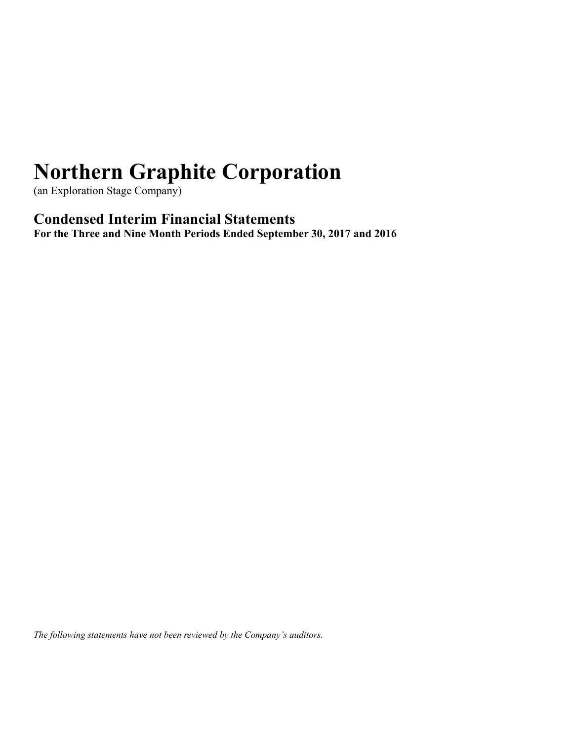(an Exploration Stage Company)

## **Condensed Interim Financial Statements**

**For the Three and Nine Month Periods Ended September 30, 2017 and 2016**

*The following statements have not been reviewed by the Company's auditors.*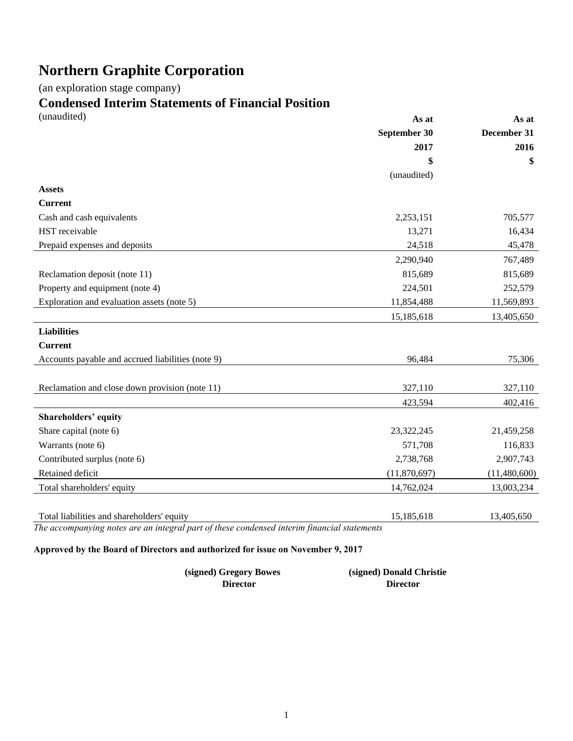(an exploration stage company)

# **Condensed Interim Statements of Financial Position**

| (unaudited)                                       | As at        | As at        |
|---------------------------------------------------|--------------|--------------|
|                                                   | September 30 | December 31  |
|                                                   | 2017         | 2016         |
|                                                   | \$           | \$           |
|                                                   | (unaudited)  |              |
| <b>Assets</b>                                     |              |              |
| <b>Current</b>                                    |              |              |
| Cash and cash equivalents                         | 2,253,151    | 705,577      |
| HST receivable                                    | 13,271       | 16,434       |
| Prepaid expenses and deposits                     | 24,518       | 45,478       |
|                                                   | 2,290,940    | 767,489      |
| Reclamation deposit (note 11)                     | 815,689      | 815,689      |
| Property and equipment (note 4)                   | 224,501      | 252,579      |
| Exploration and evaluation assets (note 5)        | 11,854,488   | 11,569,893   |
|                                                   | 15,185,618   | 13,405,650   |
| <b>Liabilities</b>                                |              |              |
| <b>Current</b>                                    |              |              |
| Accounts payable and accrued liabilities (note 9) | 96,484       | 75,306       |
|                                                   |              |              |
| Reclamation and close down provision (note 11)    | 327,110      | 327,110      |
|                                                   | 423,594      | 402,416      |
| <b>Shareholders' equity</b>                       |              |              |
| Share capital (note 6)                            | 23,322,245   | 21,459,258   |
| Warrants (note 6)                                 | 571,708      | 116,833      |
| Contributed surplus (note 6)                      | 2,738,768    | 2,907,743    |
| Retained deficit                                  | (11,870,697) | (11,480,600) |
| Total shareholders' equity                        | 14,762,024   | 13,003,234   |
|                                                   |              |              |
| Total liabilities and shareholders' equity        | 15,185,618   | 13,405,650   |

*The accompanying notes are an integral part of these condensed interim financial statements* 

## **Approved by the Board of Directors and authorized for issue on November 9, 2017**

| (signed) Gregory Bowes | (signed) Donald Christie |
|------------------------|--------------------------|
| Director               | <b>Director</b>          |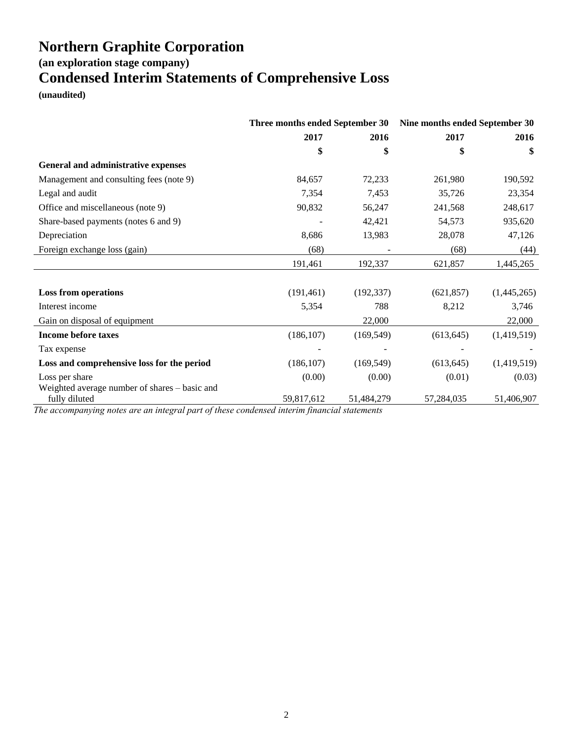**(an exploration stage company)**

## **Condensed Interim Statements of Comprehensive Loss**

**(unaudited)**

|                                                                                                               | Three months ended September 30 |                               | Nine months ended September 30 |             |
|---------------------------------------------------------------------------------------------------------------|---------------------------------|-------------------------------|--------------------------------|-------------|
|                                                                                                               | 2017                            | 2016                          | 2017                           | 2016        |
|                                                                                                               | \$                              | \$                            | \$                             | \$          |
| General and administrative expenses                                                                           |                                 |                               |                                |             |
| Management and consulting fees (note 9)                                                                       | 84,657                          | 72,233                        | 261,980                        | 190,592     |
| Legal and audit                                                                                               | 7,354                           | 7,453                         | 35,726                         | 23,354      |
| Office and miscellaneous (note 9)                                                                             | 90,832                          | 56,247                        | 241,568                        | 248,617     |
| Share-based payments (notes 6 and 9)                                                                          |                                 | 42,421                        | 54,573                         | 935,620     |
| Depreciation                                                                                                  | 8,686                           | 13,983                        | 28,078                         | 47,126      |
| Foreign exchange loss (gain)                                                                                  | (68)                            |                               | (68)                           | (44)        |
|                                                                                                               | 191,461                         | 192,337                       | 621,857                        | 1,445,265   |
| <b>Loss from operations</b>                                                                                   | (191, 461)                      | (192, 337)                    | (621, 857)                     | (1,445,265) |
| Interest income                                                                                               | 5,354                           | 788                           | 8,212                          | 3,746       |
| Gain on disposal of equipment                                                                                 |                                 | 22,000                        |                                | 22,000      |
| <b>Income before taxes</b>                                                                                    | (186, 107)                      | (169, 549)                    | (613, 645)                     | (1,419,519) |
| Tax expense                                                                                                   |                                 |                               |                                |             |
| Loss and comprehensive loss for the period                                                                    | (186, 107)                      | (169, 549)                    | (613, 645)                     | (1,419,519) |
| Loss per share                                                                                                | (0.00)                          | (0.00)                        | (0.01)                         | (0.03)      |
| Weighted average number of shares - basic and<br>fully diluted<br>$\sim$ $\sim$ $\sim$<br>$\mathbf{I}$<br>0.1 | 59,817,612                      | 51,484,279<br>$\cdot$ $\cdot$ | 57,284,035                     | 51,406,907  |

*The accompanying notes are an integral part of these condensed interim financial statements*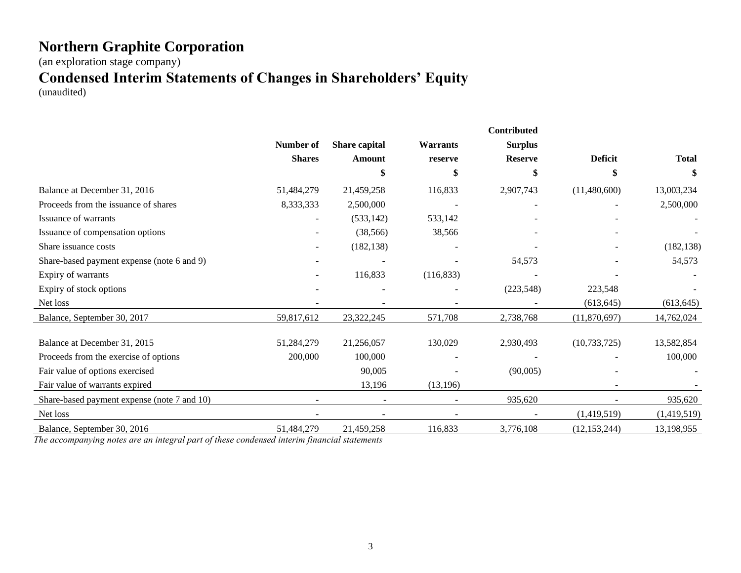(an exploration stage company)

## **Condensed Interim Statements of Changes in Shareholders' Equity**

(unaudited)

|                                             |               |               |                 | Contributed    |                |              |
|---------------------------------------------|---------------|---------------|-----------------|----------------|----------------|--------------|
|                                             | Number of     | Share capital | <b>Warrants</b> | <b>Surplus</b> |                |              |
|                                             | <b>Shares</b> | <b>Amount</b> | reserve         | <b>Reserve</b> | <b>Deficit</b> | <b>Total</b> |
|                                             |               |               | Я               |                | \$             | S            |
| Balance at December 31, 2016                | 51,484,279    | 21,459,258    | 116,833         | 2,907,743      | (11,480,600)   | 13,003,234   |
| Proceeds from the issuance of shares        | 8,333,333     | 2,500,000     |                 |                |                | 2,500,000    |
| Issuance of warrants                        |               | (533, 142)    | 533,142         |                |                |              |
| Issuance of compensation options            |               | (38, 566)     | 38,566          |                |                |              |
| Share issuance costs                        |               | (182, 138)    |                 |                |                | (182, 138)   |
| Share-based payment expense (note 6 and 9)  |               |               |                 | 54,573         |                | 54,573       |
| Expiry of warrants                          |               | 116,833       | (116, 833)      |                |                |              |
| Expiry of stock options                     |               |               |                 | (223, 548)     | 223,548        |              |
| Net loss                                    |               |               |                 |                | (613, 645)     | (613, 645)   |
| Balance, September 30, 2017                 | 59,817,612    | 23,322,245    | 571,708         | 2,738,768      | (11,870,697)   | 14,762,024   |
| Balance at December 31, 2015                | 51,284,279    | 21,256,057    | 130,029         | 2,930,493      | (10, 733, 725) | 13,582,854   |
| Proceeds from the exercise of options       | 200,000       | 100,000       |                 |                |                | 100,000      |
| Fair value of options exercised             |               | 90,005        |                 | (90,005)       |                |              |
| Fair value of warrants expired              |               | 13,196        | (13, 196)       |                |                |              |
| Share-based payment expense (note 7 and 10) |               |               |                 | 935,620        |                | 935,620      |
| Net loss                                    |               |               |                 |                | (1,419,519)    | (1,419,519)  |
| Balance, September 30, 2016                 | 51,484,279    | 21,459,258    | 116,833         | 3,776,108      | (12, 153, 244) | 13,198,955   |

*The accompanying notes are an integral part of these condensed interim financial statements*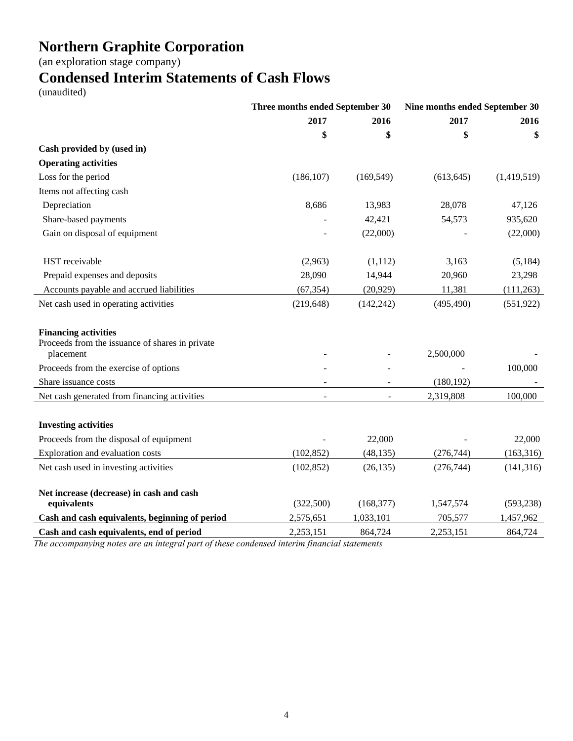(an exploration stage company)

## **Condensed Interim Statements of Cash Flows**

(unaudited)

|                                                                                             | Three months ended September 30 |                | Nine months ended September 30 |             |  |
|---------------------------------------------------------------------------------------------|---------------------------------|----------------|--------------------------------|-------------|--|
|                                                                                             | 2017                            | 2016           | 2017                           | 2016        |  |
|                                                                                             | \$                              | \$             | \$                             | \$          |  |
| Cash provided by (used in)                                                                  |                                 |                |                                |             |  |
| <b>Operating activities</b>                                                                 |                                 |                |                                |             |  |
| Loss for the period                                                                         | (186, 107)                      | (169, 549)     | (613, 645)                     | (1,419,519) |  |
| Items not affecting cash                                                                    |                                 |                |                                |             |  |
| Depreciation                                                                                | 8,686                           | 13,983         | 28,078                         | 47,126      |  |
| Share-based payments                                                                        |                                 | 42,421         | 54,573                         | 935,620     |  |
| Gain on disposal of equipment                                                               |                                 | (22,000)       |                                | (22,000)    |  |
| HST receivable                                                                              | (2,963)                         | (1,112)        | 3,163                          | (5, 184)    |  |
| Prepaid expenses and deposits                                                               | 28,090                          | 14,944         | 20,960                         | 23,298      |  |
| Accounts payable and accrued liabilities                                                    | (67, 354)                       | (20, 929)      | 11,381                         | (111,263)   |  |
| Net cash used in operating activities                                                       | (219, 648)                      | (142, 242)     | (495, 490)                     | (551, 922)  |  |
| <b>Financing activities</b><br>Proceeds from the issuance of shares in private<br>placement |                                 |                | 2,500,000                      |             |  |
| Proceeds from the exercise of options                                                       |                                 |                |                                | 100,000     |  |
| Share issuance costs                                                                        |                                 |                | (180, 192)                     |             |  |
| Net cash generated from financing activities                                                |                                 | $\overline{a}$ | 2,319,808                      | 100,000     |  |
| <b>Investing activities</b>                                                                 |                                 |                |                                |             |  |
| Proceeds from the disposal of equipment                                                     |                                 | 22,000         |                                | 22,000      |  |
| Exploration and evaluation costs                                                            | (102, 852)                      | (48, 135)      | (276, 744)                     | (163,316)   |  |
| Net cash used in investing activities                                                       | (102, 852)                      | (26, 135)      | (276, 744)                     | (141, 316)  |  |
| Net increase (decrease) in cash and cash<br>equivalents                                     | (322, 500)                      | (168, 377)     | 1,547,574                      | (593, 238)  |  |
| Cash and cash equivalents, beginning of period                                              | 2,575,651                       | 1,033,101      | 705,577                        | 1,457,962   |  |
| Cash and cash equivalents, end of period                                                    | 2,253,151                       | 864,724        | 2,253,151                      | 864,724     |  |

*The accompanying notes are an integral part of these condensed interim financial statements*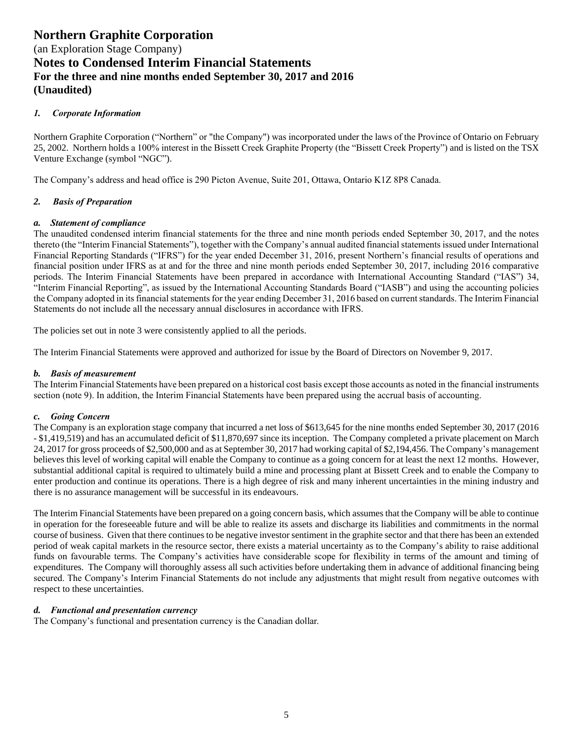## *1. Corporate Information*

Northern Graphite Corporation ("Northern" or "the Company") was incorporated under the laws of the Province of Ontario on February 25, 2002. Northern holds a 100% interest in the Bissett Creek Graphite Property (the "Bissett Creek Property") and is listed on the TSX Venture Exchange (symbol "NGC").

The Company's address and head office is 290 Picton Avenue, Suite 201, Ottawa, Ontario K1Z 8P8 Canada.

## *2. Basis of Preparation*

## *a. Statement of compliance*

The unaudited condensed interim financial statements for the three and nine month periods ended September 30, 2017, and the notes thereto (the "Interim Financial Statements"), together with the Company's annual audited financial statements issued under International Financial Reporting Standards ("IFRS") for the year ended December 31, 2016, present Northern's financial results of operations and financial position under IFRS as at and for the three and nine month periods ended September 30, 2017, including 2016 comparative periods. The Interim Financial Statements have been prepared in accordance with International Accounting Standard ("IAS") 34, "Interim Financial Reporting", as issued by the International Accounting Standards Board ("IASB") and using the accounting policies the Company adopted in its financial statements for the year ending December 31, 2016 based on current standards. The Interim Financial Statements do not include all the necessary annual disclosures in accordance with IFRS.

The policies set out in note 3 were consistently applied to all the periods.

The Interim Financial Statements were approved and authorized for issue by the Board of Directors on November 9, 2017.

## *b. Basis of measurement*

The Interim Financial Statements have been prepared on a historical cost basis except those accounts as noted in the financial instruments section (note 9). In addition, the Interim Financial Statements have been prepared using the accrual basis of accounting.

## *c. Going Concern*

The Company is an exploration stage company that incurred a net loss of \$613,645 for the nine months ended September 30, 2017 (2016 - \$1,419,519) and has an accumulated deficit of \$11,870,697 since its inception. The Company completed a private placement on March 24, 2017 for gross proceeds of \$2,500,000 and as at September 30, 2017 had working capital of \$2,194,456. The Company's management believes this level of working capital will enable the Company to continue as a going concern for at least the next 12 months. However, substantial additional capital is required to ultimately build a mine and processing plant at Bissett Creek and to enable the Company to enter production and continue its operations. There is a high degree of risk and many inherent uncertainties in the mining industry and there is no assurance management will be successful in its endeavours.

The Interim Financial Statements have been prepared on a going concern basis, which assumes that the Company will be able to continue in operation for the foreseeable future and will be able to realize its assets and discharge its liabilities and commitments in the normal course of business. Given that there continues to be negative investor sentiment in the graphite sector and that there has been an extended period of weak capital markets in the resource sector, there exists a material uncertainty as to the Company's ability to raise additional funds on favourable terms. The Company's activities have considerable scope for flexibility in terms of the amount and timing of expenditures. The Company will thoroughly assess all such activities before undertaking them in advance of additional financing being secured. The Company's Interim Financial Statements do not include any adjustments that might result from negative outcomes with respect to these uncertainties.

## *d. Functional and presentation currency*

The Company's functional and presentation currency is the Canadian dollar.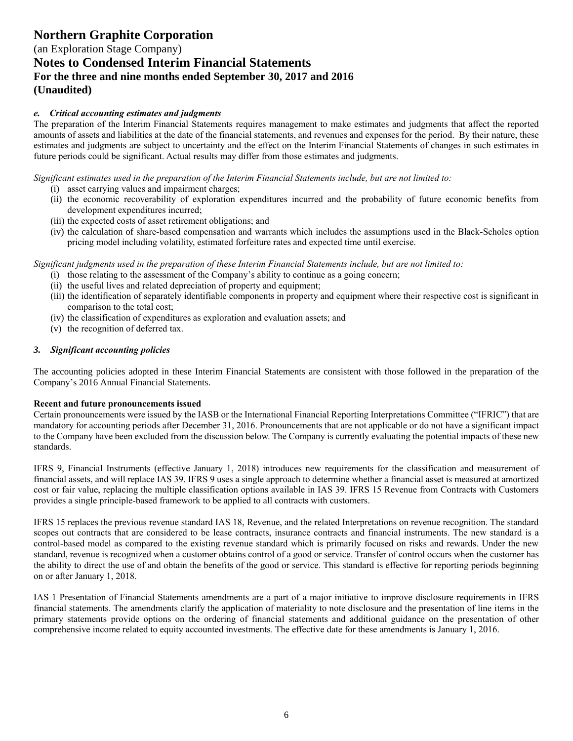(an Exploration Stage Company) **Notes to Condensed Interim Financial Statements For the three and nine months ended September 30, 2017 and 2016 (Unaudited)**

## *e. Critical accounting estimates and judgments*

The preparation of the Interim Financial Statements requires management to make estimates and judgments that affect the reported amounts of assets and liabilities at the date of the financial statements, and revenues and expenses for the period. By their nature, these estimates and judgments are subject to uncertainty and the effect on the Interim Financial Statements of changes in such estimates in future periods could be significant. Actual results may differ from those estimates and judgments.

*Significant estimates used in the preparation of the Interim Financial Statements include, but are not limited to:* 

- (i) asset carrying values and impairment charges;
- (ii) the economic recoverability of exploration expenditures incurred and the probability of future economic benefits from development expenditures incurred;
- (iii) the expected costs of asset retirement obligations; and
- (iv) the calculation of share-based compensation and warrants which includes the assumptions used in the Black-Scholes option pricing model including volatility, estimated forfeiture rates and expected time until exercise.

*Significant judgments used in the preparation of these Interim Financial Statements include, but are not limited to:* 

- (i) those relating to the assessment of the Company's ability to continue as a going concern;
- (ii) the useful lives and related depreciation of property and equipment;
- (iii) the identification of separately identifiable components in property and equipment where their respective cost is significant in comparison to the total cost;
- (iv) the classification of expenditures as exploration and evaluation assets; and
- (v) the recognition of deferred tax.

## *3. Significant accounting policies*

The accounting policies adopted in these Interim Financial Statements are consistent with those followed in the preparation of the Company's 2016 Annual Financial Statements.

## **Recent and future pronouncements issued**

Certain pronouncements were issued by the IASB or the International Financial Reporting Interpretations Committee ("IFRIC") that are mandatory for accounting periods after December 31, 2016. Pronouncements that are not applicable or do not have a significant impact to the Company have been excluded from the discussion below. The Company is currently evaluating the potential impacts of these new standards.

IFRS 9, Financial Instruments (effective January 1, 2018) introduces new requirements for the classification and measurement of financial assets, and will replace IAS 39. IFRS 9 uses a single approach to determine whether a financial asset is measured at amortized cost or fair value, replacing the multiple classification options available in IAS 39. IFRS 15 Revenue from Contracts with Customers provides a single principle-based framework to be applied to all contracts with customers.

IFRS 15 replaces the previous revenue standard IAS 18, Revenue, and the related Interpretations on revenue recognition. The standard scopes out contracts that are considered to be lease contracts, insurance contracts and financial instruments. The new standard is a control-based model as compared to the existing revenue standard which is primarily focused on risks and rewards. Under the new standard, revenue is recognized when a customer obtains control of a good or service. Transfer of control occurs when the customer has the ability to direct the use of and obtain the benefits of the good or service. This standard is effective for reporting periods beginning on or after January 1, 2018.

IAS 1 Presentation of Financial Statements amendments are a part of a major initiative to improve disclosure requirements in IFRS financial statements. The amendments clarify the application of materiality to note disclosure and the presentation of line items in the primary statements provide options on the ordering of financial statements and additional guidance on the presentation of other comprehensive income related to equity accounted investments. The effective date for these amendments is January 1, 2016.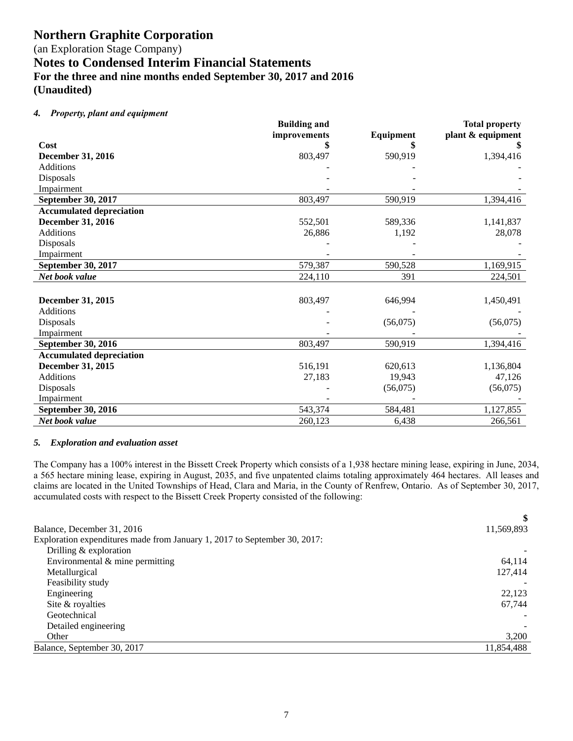(an Exploration Stage Company) **Notes to Condensed Interim Financial Statements**

**For the three and nine months ended September 30, 2017 and 2016**

**(Unaudited)**

## *4. Property, plant and equipment*

|                                 | <b>Building and</b> |           | <b>Total property</b> |
|---------------------------------|---------------------|-----------|-----------------------|
|                                 | improvements        | Equipment | plant & equipment     |
| Cost                            | \$                  |           |                       |
| <b>December 31, 2016</b>        | 803,497             | 590,919   | 1,394,416             |
| <b>Additions</b>                |                     |           |                       |
| Disposals                       |                     |           |                       |
| Impairment                      |                     |           |                       |
| September 30, 2017              | 803,497             | 590,919   | 1,394,416             |
| <b>Accumulated depreciation</b> |                     |           |                       |
| December 31, 2016               | 552,501             | 589,336   | 1,141,837             |
| <b>Additions</b>                | 26,886              | 1,192     | 28,078                |
| Disposals                       |                     |           |                       |
| Impairment                      |                     |           |                       |
| September 30, 2017              | 579,387             | 590,528   | 1,169,915             |
| Net book value                  | 224,110             | 391       | 224,501               |
|                                 |                     |           |                       |
| December 31, 2015               | 803,497             | 646,994   | 1,450,491             |
| <b>Additions</b>                |                     |           |                       |
| Disposals                       |                     | (56,075)  | (56,075)              |
| Impairment                      |                     |           |                       |
| September 30, 2016              | 803,497             | 590,919   | 1,394,416             |
| <b>Accumulated depreciation</b> |                     |           |                       |
| December 31, 2015               | 516,191             | 620,613   | 1,136,804             |
| <b>Additions</b>                | 27,183              | 19,943    | 47,126                |
| Disposals                       |                     | (56,075)  | (56,075)              |
| Impairment                      |                     |           |                       |
| September 30, 2016              | 543,374             | 584,481   | 1,127,855             |
| Net book value                  | 260,123             | 6,438     | 266,561               |

## *5. Exploration and evaluation asset*

The Company has a 100% interest in the Bissett Creek Property which consists of a 1,938 hectare mining lease, expiring in June, 2034, a 565 hectare mining lease, expiring in August, 2035, and five unpatented claims totaling approximately 464 hectares. All leases and claims are located in the United Townships of Head, Clara and Maria, in the County of Renfrew, Ontario. As of September 30, 2017, accumulated costs with respect to the Bissett Creek Property consisted of the following:

|                                                                           | \$         |
|---------------------------------------------------------------------------|------------|
| Balance, December 31, 2016                                                | 11,569,893 |
| Exploration expenditures made from January 1, 2017 to September 30, 2017: |            |
| Drilling $&$ exploration                                                  |            |
| Environmental $&$ mine permitting                                         | 64,114     |
| Metallurgical                                                             | 127,414    |
| Feasibility study                                                         |            |
| Engineering                                                               | 22,123     |
| Site & royalties                                                          | 67,744     |
| Geotechnical                                                              |            |
| Detailed engineering                                                      |            |
| Other                                                                     | 3,200      |
| Balance, September 30, 2017                                               | 11,854,488 |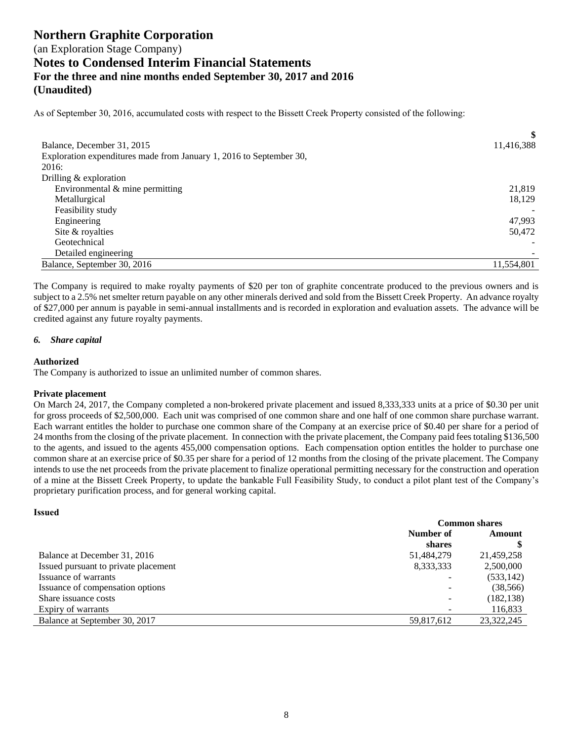As of September 30, 2016, accumulated costs with respect to the Bissett Creek Property consisted of the following:

| Balance, December 31, 2015<br>Exploration expenditures made from January 1, 2016 to September 30, | \$<br>11,416,388 |
|---------------------------------------------------------------------------------------------------|------------------|
| 2016:                                                                                             |                  |
| Drilling $&$ exploration                                                                          |                  |
| Environmental & mine permitting                                                                   | 21,819           |
| Metallurgical                                                                                     | 18,129           |
| Feasibility study                                                                                 |                  |
| Engineering                                                                                       | 47,993           |
| Site & royalties                                                                                  | 50,472           |
| Geotechnical                                                                                      |                  |
| Detailed engineering                                                                              |                  |
| Balance, September 30, 2016                                                                       | 11,554,801       |

The Company is required to make royalty payments of \$20 per ton of graphite concentrate produced to the previous owners and is subject to a 2.5% net smelter return payable on any other minerals derived and sold from the Bissett Creek Property. An advance royalty of \$27,000 per annum is payable in semi-annual installments and is recorded in exploration and evaluation assets. The advance will be credited against any future royalty payments.

## *6. Share capital*

## **Authorized**

The Company is authorized to issue an unlimited number of common shares.

## **Private placement**

On March 24, 2017, the Company completed a non-brokered private placement and issued 8,333,333 units at a price of \$0.30 per unit for gross proceeds of \$2,500,000. Each unit was comprised of one common share and one half of one common share purchase warrant. Each warrant entitles the holder to purchase one common share of the Company at an exercise price of \$0.40 per share for a period of 24 months from the closing of the private placement. In connection with the private placement, the Company paid fees totaling \$136,500 to the agents, and issued to the agents 455,000 compensation options. Each compensation option entitles the holder to purchase one common share at an exercise price of \$0.35 per share for a period of 12 months from the closing of the private placement. The Company intends to use the net proceeds from the private placement to finalize operational permitting necessary for the construction and operation of a mine at the Bissett Creek Property, to update the bankable Full Feasibility Study, to conduct a pilot plant test of the Company's proprietary purification process, and for general working capital.

#### **Issued**

|                                      | <b>Common shares</b>     |            |
|--------------------------------------|--------------------------|------------|
|                                      | Number of                | Amount     |
|                                      | shares                   |            |
| Balance at December 31, 2016         | 51,484,279               | 21,459,258 |
| Issued pursuant to private placement | 8,333,333                | 2,500,000  |
| Issuance of warrants                 |                          | (533, 142) |
| Issuance of compensation options     | $\overline{\phantom{0}}$ | (38, 566)  |
| Share issuance costs                 | $\overline{\phantom{0}}$ | (182, 138) |
| Expiry of warrants                   |                          | 116,833    |
| Balance at September 30, 2017        | 59,817,612               | 23,322,245 |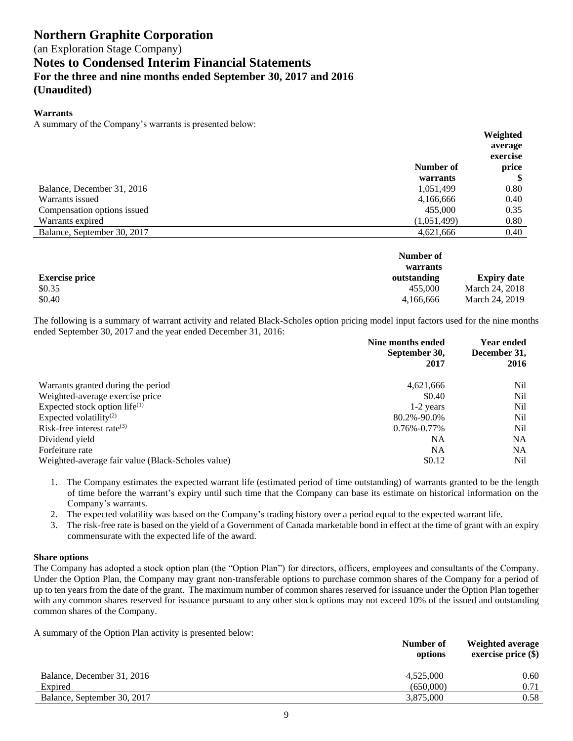#### **Warrants**

A summary of the Company's warrants is presented below:

|                             |             | Weighted |
|-----------------------------|-------------|----------|
|                             |             | average  |
|                             |             | exercise |
|                             | Number of   | price    |
|                             | warrants    | Φ        |
| Balance, December 31, 2016  | 1,051,499   | 0.80     |
| Warrants issued             | 4,166,666   | 0.40     |
| Compensation options issued | 455,000     | 0.35     |
| Warrants expired            | (1,051,499) | 0.80     |
| Balance, September 30, 2017 | 4,621,666   | 0.40     |

|                       | Number of<br>warrants |                    |
|-----------------------|-----------------------|--------------------|
| <b>Exercise price</b> | outstanding           | <b>Expiry date</b> |
| \$0.35                | 455,000               | March 24, 2018     |
| \$0.40                | 4.166.666             | March 24, 2019     |

The following is a summary of warrant activity and related Black-Scholes option pricing model input factors used for the nine months ended September 30, 2017 and the year ended December 31, 2016:

|                                                   | Nine months ended<br>September 30,<br>2017 | <b>Year ended</b><br>December 31,<br>2016 |
|---------------------------------------------------|--------------------------------------------|-------------------------------------------|
| Warrants granted during the period                | 4,621,666                                  | Nil                                       |
| Weighted-average exercise price                   | \$0.40                                     | Nil                                       |
| Expected stock option life $^{(1)}$               | 1-2 years                                  | Nil                                       |
| Expected volatility <sup>(2)</sup>                | 80.2%-90.0%                                | Nil                                       |
| Risk-free interest rate $(3)$                     | $0.76\% - 0.77\%$                          | Nil                                       |
| Dividend yield                                    | NA                                         | NA                                        |
| Forfeiture rate                                   | NA                                         | <b>NA</b>                                 |
| Weighted-average fair value (Black-Scholes value) | \$0.12                                     | Nil                                       |

1. The Company estimates the expected warrant life (estimated period of time outstanding) of warrants granted to be the length of time before the warrant's expiry until such time that the Company can base its estimate on historical information on the Company's warrants.

- 2. The expected volatility was based on the Company's trading history over a period equal to the expected warrant life.
- 3. The risk-free rate is based on the yield of a Government of Canada marketable bond in effect at the time of grant with an expiry commensurate with the expected life of the award.

## **Share options**

The Company has adopted a stock option plan (the "Option Plan") for directors, officers, employees and consultants of the Company. Under the Option Plan, the Company may grant non-transferable options to purchase common shares of the Company for a period of up to ten years from the date of the grant. The maximum number of common shares reserved for issuance under the Option Plan together with any common shares reserved for issuance pursuant to any other stock options may not exceed 10% of the issued and outstanding common shares of the Company.

A summary of the Option Plan activity is presented below:

|                             | Number of<br>options | Weighted average<br>exercise price $(\$)$ |  |
|-----------------------------|----------------------|-------------------------------------------|--|
| Balance, December 31, 2016  | 4,525,000            | 0.60                                      |  |
| Expired                     | (650,000)            | 0.71                                      |  |
| Balance, September 30, 2017 | 3.875,000            | 0.58                                      |  |
|                             |                      |                                           |  |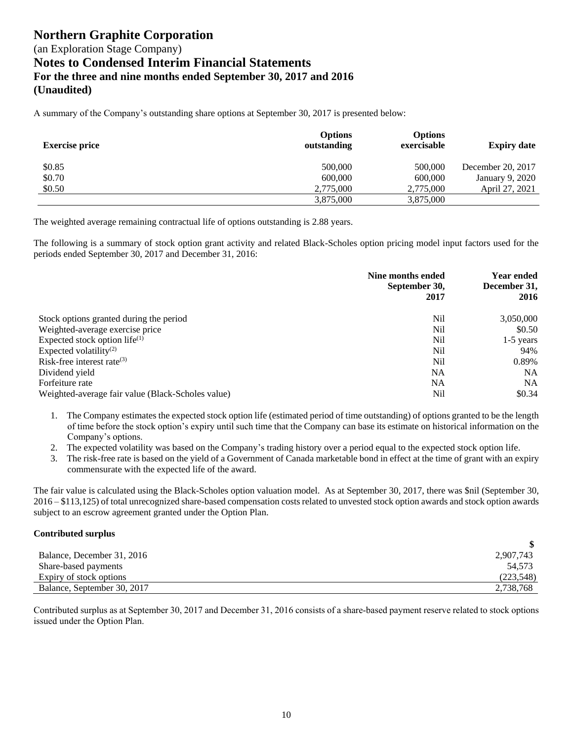A summary of the Company's outstanding share options at September 30, 2017 is presented below:

| <b>Exercise price</b> | <b>Options</b><br>outstanding | <b>Options</b><br>exercisable | <b>Expiry date</b> |
|-----------------------|-------------------------------|-------------------------------|--------------------|
| \$0.85                | 500,000                       | 500,000                       | December 20, 2017  |
| \$0.70                | 600,000                       | 600,000                       | January 9, 2020    |
| \$0.50                | 2,775,000                     | 2,775,000                     | April 27, 2021     |
|                       | 3,875,000                     | 3,875,000                     |                    |

The weighted average remaining contractual life of options outstanding is 2.88 years.

The following is a summary of stock option grant activity and related Black-Scholes option pricing model input factors used for the periods ended September 30, 2017 and December 31, 2016:

|                                                   | Nine months ended<br>September 30,<br>2017 | <b>Year ended</b><br>December 31,<br>2016 |
|---------------------------------------------------|--------------------------------------------|-------------------------------------------|
| Stock options granted during the period           | Nil                                        | 3,050,000                                 |
| Weighted-average exercise price                   | Nil                                        | \$0.50                                    |
| Expected stock option life $^{(1)}$               | Nil                                        | $1-5$ years                               |
| Expected volatility <sup>(2)</sup>                | Nil                                        | 94%                                       |
| Risk-free interest rate $^{(3)}$                  | N <sub>i</sub>                             | 0.89%                                     |
| Dividend yield                                    | NA                                         | <b>NA</b>                                 |
| Forfeiture rate                                   | NA                                         | <b>NA</b>                                 |
| Weighted-average fair value (Black-Scholes value) | Nil                                        | \$0.34                                    |

- 1. The Company estimates the expected stock option life (estimated period of time outstanding) of options granted to be the length of time before the stock option's expiry until such time that the Company can base its estimate on historical information on the Company's options.
- 2. The expected volatility was based on the Company's trading history over a period equal to the expected stock option life.
- 3. The risk-free rate is based on the yield of a Government of Canada marketable bond in effect at the time of grant with an expiry commensurate with the expected life of the award.

The fair value is calculated using the Black-Scholes option valuation model. As at September 30, 2017, there was \$nil (September 30, 2016 – \$113,125) of total unrecognized share-based compensation costs related to unvested stock option awards and stock option awards subject to an escrow agreement granted under the Option Plan.

## **Contributed surplus**

| Balance, December 31, 2016  | 2,907,743  |
|-----------------------------|------------|
| Share-based payments        | 54.573     |
| Expiry of stock options     | (223, 548) |
| Balance, September 30, 2017 | 2,738,768  |

**\$**

Contributed surplus as at September 30, 2017 and December 31, 2016 consists of a share-based payment reserve related to stock options issued under the Option Plan.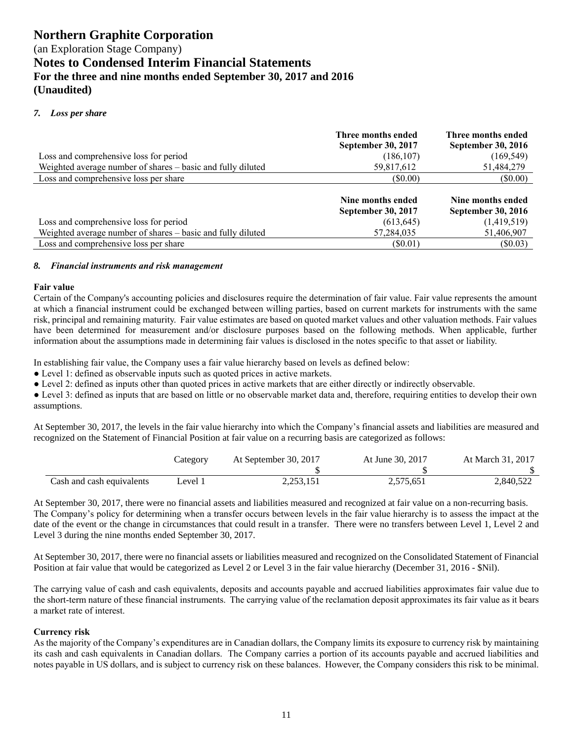## (an Exploration Stage Company) **Notes to Condensed Interim Financial Statements For the three and nine months ended September 30, 2017 and 2016 (Unaudited)**

## *7. Loss per share*

|                                                             | Three months ended<br><b>September 30, 2017</b> | Three months ended<br><b>September 30, 2016</b> |
|-------------------------------------------------------------|-------------------------------------------------|-------------------------------------------------|
| Loss and comprehensive loss for period                      | (186, 107)                                      | (169, 549)                                      |
| Weighted average number of shares – basic and fully diluted | 59,817,612                                      | 51,484,279                                      |
| Loss and comprehensive loss per share                       | $($ \$0.00)                                     | (S0.00)                                         |
|                                                             | Nine months ended<br><b>September 30, 2017</b>  | Nine months ended<br><b>September 30, 2016</b>  |
| Loss and comprehensive loss for period                      | (613, 645)                                      | (1,419,519)                                     |
| Weighted average number of shares – basic and fully diluted | 57,284,035                                      | 51,406,907                                      |
| Loss and comprehensive loss per share                       | $(\$0.01)$                                      | $(\$0.03)$                                      |

#### *8. Financial instruments and risk management*

#### **Fair value**

Certain of the Company's accounting policies and disclosures require the determination of fair value. Fair value represents the amount at which a financial instrument could be exchanged between willing parties, based on current markets for instruments with the same risk, principal and remaining maturity. Fair value estimates are based on quoted market values and other valuation methods. Fair values have been determined for measurement and/or disclosure purposes based on the following methods. When applicable, further information about the assumptions made in determining fair values is disclosed in the notes specific to that asset or liability.

In establishing fair value, the Company uses a fair value hierarchy based on levels as defined below:

● Level 1: defined as observable inputs such as quoted prices in active markets.

● Level 2: defined as inputs other than quoted prices in active markets that are either directly or indirectly observable.

● Level 3: defined as inputs that are based on little or no observable market data and, therefore, requiring entities to develop their own assumptions.

At September 30, 2017, the levels in the fair value hierarchy into which the Company's financial assets and liabilities are measured and recognized on the Statement of Financial Position at fair value on a recurring basis are categorized as follows:

|                           | Category | At September 30, 2017 | At June 30, 2017 | At March 31, 2017 |
|---------------------------|----------|-----------------------|------------------|-------------------|
|                           |          |                       |                  |                   |
| Cash and cash equivalents | evel 1   | 2,253,151             | 2,575,651        | 2,840,522         |

At September 30, 2017, there were no financial assets and liabilities measured and recognized at fair value on a non-recurring basis. The Company's policy for determining when a transfer occurs between levels in the fair value hierarchy is to assess the impact at the date of the event or the change in circumstances that could result in a transfer. There were no transfers between Level 1, Level 2 and Level 3 during the nine months ended September 30, 2017.

At September 30, 2017, there were no financial assets or liabilities measured and recognized on the Consolidated Statement of Financial Position at fair value that would be categorized as Level 2 or Level 3 in the fair value hierarchy (December 31, 2016 - \$Nil).

The carrying value of cash and cash equivalents, deposits and accounts payable and accrued liabilities approximates fair value due to the short-term nature of these financial instruments. The carrying value of the reclamation deposit approximates its fair value as it bears a market rate of interest.

## **Currency risk**

As the majority of the Company's expenditures are in Canadian dollars, the Company limits its exposure to currency risk by maintaining its cash and cash equivalents in Canadian dollars. The Company carries a portion of its accounts payable and accrued liabilities and notes payable in US dollars, and is subject to currency risk on these balances. However, the Company considers this risk to be minimal.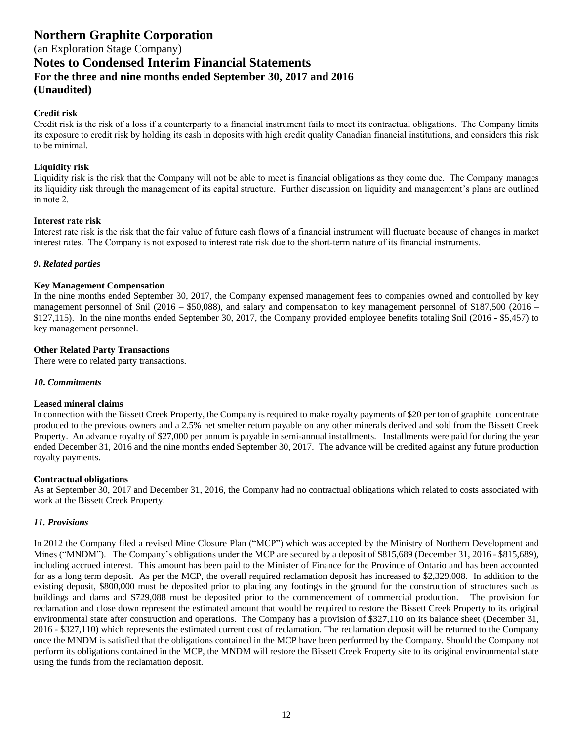(an Exploration Stage Company)

**Notes to Condensed Interim Financial Statements**

**For the three and nine months ended September 30, 2017 and 2016**

## **(Unaudited)**

## **Credit risk**

Credit risk is the risk of a loss if a counterparty to a financial instrument fails to meet its contractual obligations. The Company limits its exposure to credit risk by holding its cash in deposits with high credit quality Canadian financial institutions, and considers this risk to be minimal.

## **Liquidity risk**

Liquidity risk is the risk that the Company will not be able to meet is financial obligations as they come due. The Company manages its liquidity risk through the management of its capital structure. Further discussion on liquidity and management's plans are outlined in note 2.

## **Interest rate risk**

Interest rate risk is the risk that the fair value of future cash flows of a financial instrument will fluctuate because of changes in market interest rates. The Company is not exposed to interest rate risk due to the short-term nature of its financial instruments.

## *9***.** *Related parties*

## **Key Management Compensation**

In the nine months ended September 30, 2017, the Company expensed management fees to companies owned and controlled by key management personnel of \$nil (2016 – \$50,088), and salary and compensation to key management personnel of \$187,500 (2016 – \$127,115). In the nine months ended September 30, 2017, the Company provided employee benefits totaling \$nil (2016 - \$5,457) to key management personnel.

## **Other Related Party Transactions**

There were no related party transactions.

## *10***.** *Commitments*

## **Leased mineral claims**

In connection with the Bissett Creek Property, the Company is required to make royalty payments of \$20 per ton of graphite concentrate produced to the previous owners and a 2.5% net smelter return payable on any other minerals derived and sold from the Bissett Creek Property. An advance royalty of \$27,000 per annum is payable in semi-annual installments. Installments were paid for during the year ended December 31, 2016 and the nine months ended September 30, 2017. The advance will be credited against any future production royalty payments.

## **Contractual obligations**

As at September 30, 2017 and December 31, 2016, the Company had no contractual obligations which related to costs associated with work at the Bissett Creek Property.

## *11. Provisions*

In 2012 the Company filed a revised Mine Closure Plan ("MCP") which was accepted by the Ministry of Northern Development and Mines ("MNDM"). The Company's obligations under the MCP are secured by a deposit of \$815,689 (December 31, 2016 - \$815,689), including accrued interest. This amount has been paid to the Minister of Finance for the Province of Ontario and has been accounted for as a long term deposit. As per the MCP, the overall required reclamation deposit has increased to \$2,329,008. In addition to the existing deposit, \$800,000 must be deposited prior to placing any footings in the ground for the construction of structures such as buildings and dams and \$729,088 must be deposited prior to the commencement of commercial production. The provision for reclamation and close down represent the estimated amount that would be required to restore the Bissett Creek Property to its original environmental state after construction and operations. The Company has a provision of \$327,110 on its balance sheet (December 31, 2016 - \$327,110) which represents the estimated current cost of reclamation. The reclamation deposit will be returned to the Company once the MNDM is satisfied that the obligations contained in the MCP have been performed by the Company. Should the Company not perform its obligations contained in the MCP, the MNDM will restore the Bissett Creek Property site to its original environmental state using the funds from the reclamation deposit.